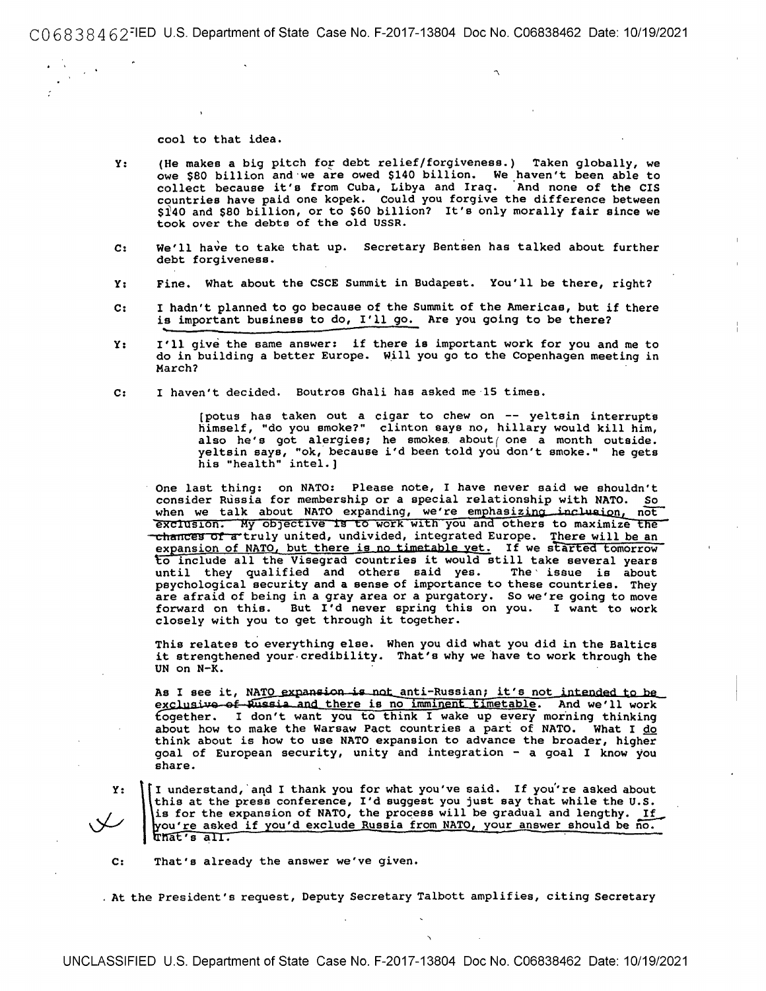CO 68384 62=IED U.S. Department of State Case No. F-2017-13804 Doc No. C06838462 Date: 10/19/2021

cool to that idea.

- Y: (He makes a big pitch for debt relief/forgiveness.) Taken globally, we owe \$80 billion and we are owed \$140 billion. We haven't been able to collect because it's from Cuba, Libya and Iraq. And none of the CIS countries have paid one kopek. Could you forgive the difference between \$l40 and \$80 billion, or to \$60 billion? It's only morally fair since we took over the debts of the old USSR.
- C: We'll have to take that up. Secretary Bentsen has talked about further debt forgiveness.
- Y: Fine. What about the CSCE Summit in Budapest. You'll be there, right?
- c: I hadn't planned to go because of the Summit of the Americas, but if there is important business to do, I'll go. Are you going to be there?
- Y: I'll give the same answer: if there is important work for you and me to do in building a better Europe. W\_ill you go to the Copenhagen meeting in March?
- C: I haven't decided. Boutros Ghali has asked me·lS times.

(potus has taken out a cigar to chew on -- yeltsin interrupts himself, "do you smoke?" clinton says no, hillary would kill him, also he's got alergies; he smokes about one a month outside. yeltsin says, "ok, because i'd been told you don't smoke," he gets his "health" intel.]

One last thing: on NATO: Please note, I have never said we shouldn't consider Russia for membership or a special relationship with NATO. So when we talk about NATO expanding, we're emphasizing inclusion,  $n\overline{ot}$ exclusion. My objective is to work with you and others to maximize the chances of a truly united, undivided, integrated Europe. There will be an expansion of NATO, but there is no timetable yet. If we started tomorrow o include all the Visegrad countries it would still take several years until they qualified and others said yes. The issue is about psychological security and a sense of importance to these countries. They are afraid of being in a gray area or a purgatory. So we're going to move forward on this. But I'd never spring this on you. I want to work closely with you to get through it together.

This relates to everything else. When you did what you did in the Salties it strengthened your credibility. That's why we have to work through the UN on N-K.

As I see it, NATO expansion is not anti-Russian; it's not intended to be exclusive of Eussia and there is no imminent timetable. And we'll work fogether. I don't want you to think I wake up every morning thinking about how to make the Warsaw Pact countries a part of NATO. What I  $\underline{do}$ think about is how to use NATO expansion to advance the broader, higher goal of European security, unity and integration - a goal I know you share.

**Y:** 

 $\int \frac{R_{\rm o}}{R}$ understand, and I thank you for what you've said. If you're asked about this at the press conference, I'd suggest you just say that while the U.S. is for the expansion of NATO, the process will be gradual and lengthy. If ou're asked if you'd exclude Russia from NATO, your answer should be no. hat's all. **For a choract happy from himself care and the** 

C: That's already the answer we've given.

. At the President's request, Deputy Secretary Talbott amplifies, citing Secretary